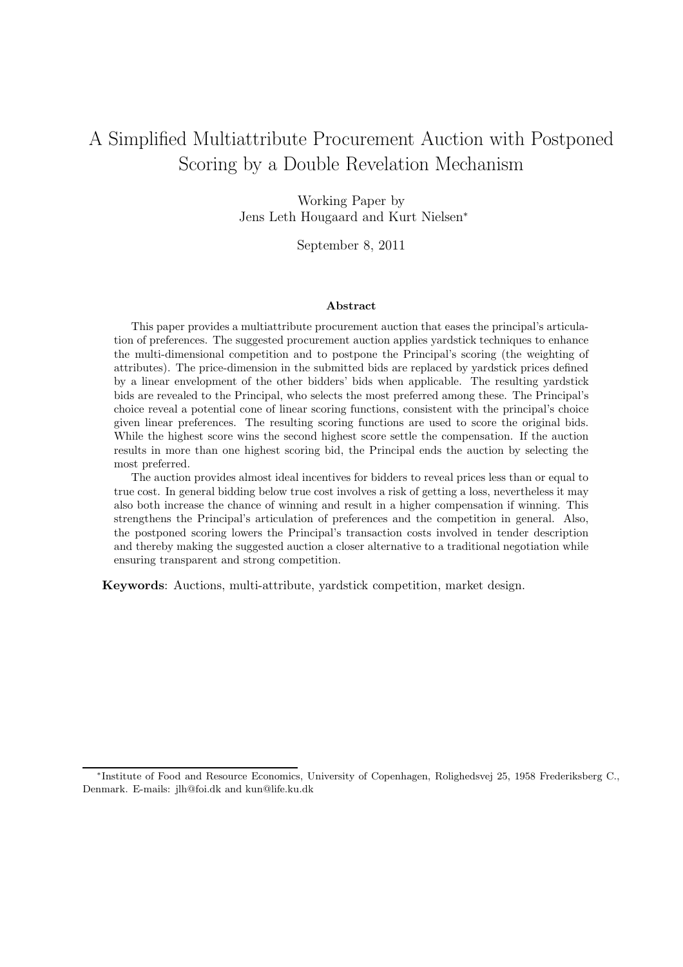# A Simplified Multiattribute Procurement Auction with Postponed Scoring by a Double Revelation Mechanism

Working Paper by Jens Leth Hougaard and Kurt Nielsen<sup>∗</sup>

September 8, 2011

#### Abstract

This paper provides a multiattribute procurement auction that eases the principal's articulation of preferences. The suggested procurement auction applies yardstick techniques to enhance the multi-dimensional competition and to postpone the Principal's scoring (the weighting of attributes). The price-dimension in the submitted bids are replaced by yardstick prices defined by a linear envelopment of the other bidders' bids when applicable. The resulting yardstick bids are revealed to the Principal, who selects the most preferred among these. The Principal's choice reveal a potential cone of linear scoring functions, consistent with the principal's choice given linear preferences. The resulting scoring functions are used to score the original bids. While the highest score wins the second highest score settle the compensation. If the auction results in more than one highest scoring bid, the Principal ends the auction by selecting the most preferred.

The auction provides almost ideal incentives for bidders to reveal prices less than or equal to true cost. In general bidding below true cost involves a risk of getting a loss, nevertheless it may also both increase the chance of winning and result in a higher compensation if winning. This strengthens the Principal's articulation of preferences and the competition in general. Also, the postponed scoring lowers the Principal's transaction costs involved in tender description and thereby making the suggested auction a closer alternative to a traditional negotiation while ensuring transparent and strong competition.

Keywords: Auctions, multi-attribute, yardstick competition, market design.

<sup>∗</sup> Institute of Food and Resource Economics, University of Copenhagen, Rolighedsvej 25, 1958 Frederiksberg C., Denmark. E-mails: jlh@foi.dk and kun@life.ku.dk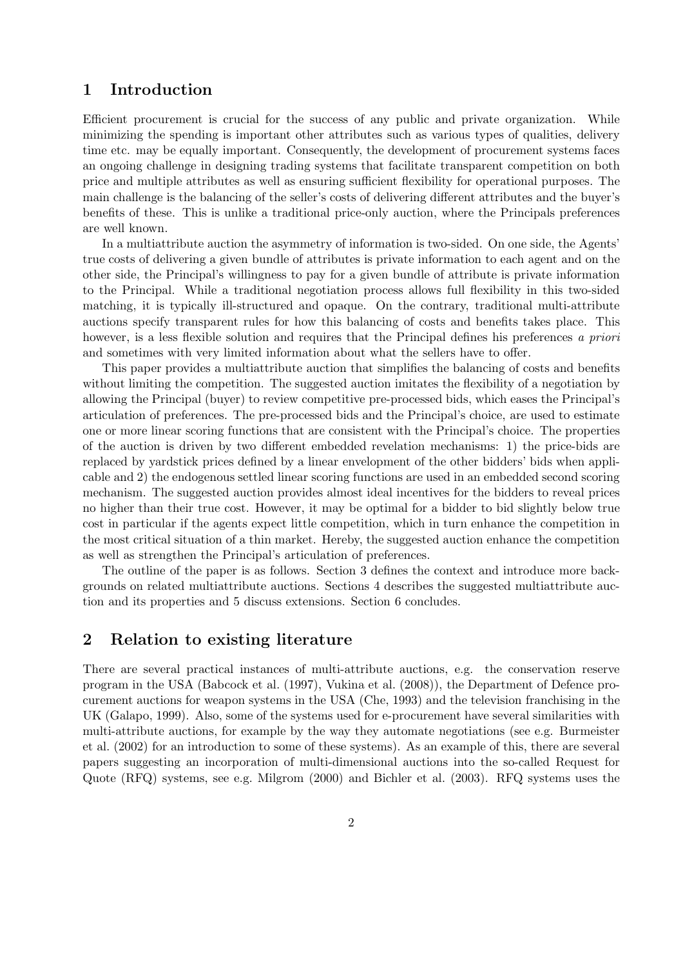## 1 Introduction

Efficient procurement is crucial for the success of any public and private organization. While minimizing the spending is important other attributes such as various types of qualities, delivery time etc. may be equally important. Consequently, the development of procurement systems faces an ongoing challenge in designing trading systems that facilitate transparent competition on both price and multiple attributes as well as ensuring sufficient flexibility for operational purposes. The main challenge is the balancing of the seller's costs of delivering different attributes and the buyer's benefits of these. This is unlike a traditional price-only auction, where the Principals preferences are well known.

In a multiattribute auction the asymmetry of information is two-sided. On one side, the Agents' true costs of delivering a given bundle of attributes is private information to each agent and on the other side, the Principal's willingness to pay for a given bundle of attribute is private information to the Principal. While a traditional negotiation process allows full flexibility in this two-sided matching, it is typically ill-structured and opaque. On the contrary, traditional multi-attribute auctions specify transparent rules for how this balancing of costs and benefits takes place. This however, is a less flexible solution and requires that the Principal defines his preferences *a priori* and sometimes with very limited information about what the sellers have to offer.

This paper provides a multiattribute auction that simplifies the balancing of costs and benefits without limiting the competition. The suggested auction imitates the flexibility of a negotiation by allowing the Principal (buyer) to review competitive pre-processed bids, which eases the Principal's articulation of preferences. The pre-processed bids and the Principal's choice, are used to estimate one or more linear scoring functions that are consistent with the Principal's choice. The properties of the auction is driven by two different embedded revelation mechanisms: 1) the price-bids are replaced by yardstick prices defined by a linear envelopment of the other bidders' bids when applicable and 2) the endogenous settled linear scoring functions are used in an embedded second scoring mechanism. The suggested auction provides almost ideal incentives for the bidders to reveal prices no higher than their true cost. However, it may be optimal for a bidder to bid slightly below true cost in particular if the agents expect little competition, which in turn enhance the competition in the most critical situation of a thin market. Hereby, the suggested auction enhance the competition as well as strengthen the Principal's articulation of preferences.

The outline of the paper is as follows. Section 3 defines the context and introduce more backgrounds on related multiattribute auctions. Sections 4 describes the suggested multiattribute auction and its properties and 5 discuss extensions. Section 6 concludes.

## 2 Relation to existing literature

There are several practical instances of multi-attribute auctions, e.g. the conservation reserve program in the USA (Babcock et al. (1997), Vukina et al. (2008)), the Department of Defence procurement auctions for weapon systems in the USA (Che, 1993) and the television franchising in the UK (Galapo, 1999). Also, some of the systems used for e-procurement have several similarities with multi-attribute auctions, for example by the way they automate negotiations (see e.g. Burmeister et al. (2002) for an introduction to some of these systems). As an example of this, there are several papers suggesting an incorporation of multi-dimensional auctions into the so-called Request for Quote (RFQ) systems, see e.g. Milgrom (2000) and Bichler et al. (2003). RFQ systems uses the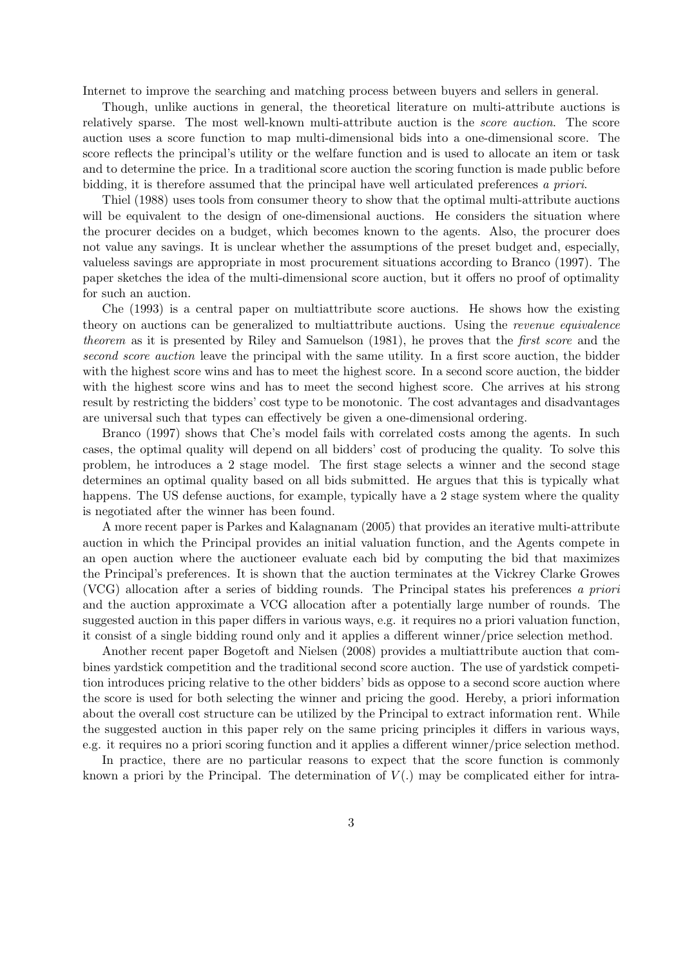Internet to improve the searching and matching process between buyers and sellers in general.

Though, unlike auctions in general, the theoretical literature on multi-attribute auctions is relatively sparse. The most well-known multi-attribute auction is the *score auction*. The score auction uses a score function to map multi-dimensional bids into a one-dimensional score. The score reflects the principal's utility or the welfare function and is used to allocate an item or task and to determine the price. In a traditional score auction the scoring function is made public before bidding, it is therefore assumed that the principal have well articulated preferences *a priori*.

Thiel (1988) uses tools from consumer theory to show that the optimal multi-attribute auctions will be equivalent to the design of one-dimensional auctions. He considers the situation where the procurer decides on a budget, which becomes known to the agents. Also, the procurer does not value any savings. It is unclear whether the assumptions of the preset budget and, especially, valueless savings are appropriate in most procurement situations according to Branco (1997). The paper sketches the idea of the multi-dimensional score auction, but it offers no proof of optimality for such an auction.

Che (1993) is a central paper on multiattribute score auctions. He shows how the existing theory on auctions can be generalized to multiattribute auctions. Using the *revenue equivalence theorem* as it is presented by Riley and Samuelson (1981), he proves that the *first score* and the *second score auction* leave the principal with the same utility. In a first score auction, the bidder with the highest score wins and has to meet the highest score. In a second score auction, the bidder with the highest score wins and has to meet the second highest score. Che arrives at his strong result by restricting the bidders' cost type to be monotonic. The cost advantages and disadvantages are universal such that types can effectively be given a one-dimensional ordering.

Branco (1997) shows that Che's model fails with correlated costs among the agents. In such cases, the optimal quality will depend on all bidders' cost of producing the quality. To solve this problem, he introduces a 2 stage model. The first stage selects a winner and the second stage determines an optimal quality based on all bids submitted. He argues that this is typically what happens. The US defense auctions, for example, typically have a 2 stage system where the quality is negotiated after the winner has been found.

A more recent paper is Parkes and Kalagnanam (2005) that provides an iterative multi-attribute auction in which the Principal provides an initial valuation function, and the Agents compete in an open auction where the auctioneer evaluate each bid by computing the bid that maximizes the Principal's preferences. It is shown that the auction terminates at the Vickrey Clarke Growes (VCG) allocation after a series of bidding rounds. The Principal states his preferences *a priori* and the auction approximate a VCG allocation after a potentially large number of rounds. The suggested auction in this paper differs in various ways, e.g. it requires no a priori valuation function, it consist of a single bidding round only and it applies a different winner/price selection method.

Another recent paper Bogetoft and Nielsen (2008) provides a multiattribute auction that combines yardstick competition and the traditional second score auction. The use of yardstick competition introduces pricing relative to the other bidders' bids as oppose to a second score auction where the score is used for both selecting the winner and pricing the good. Hereby, a priori information about the overall cost structure can be utilized by the Principal to extract information rent. While the suggested auction in this paper rely on the same pricing principles it differs in various ways, e.g. it requires no a priori scoring function and it applies a different winner/price selection method.

In practice, there are no particular reasons to expect that the score function is commonly known a priori by the Principal. The determination of  $V(.)$  may be complicated either for intra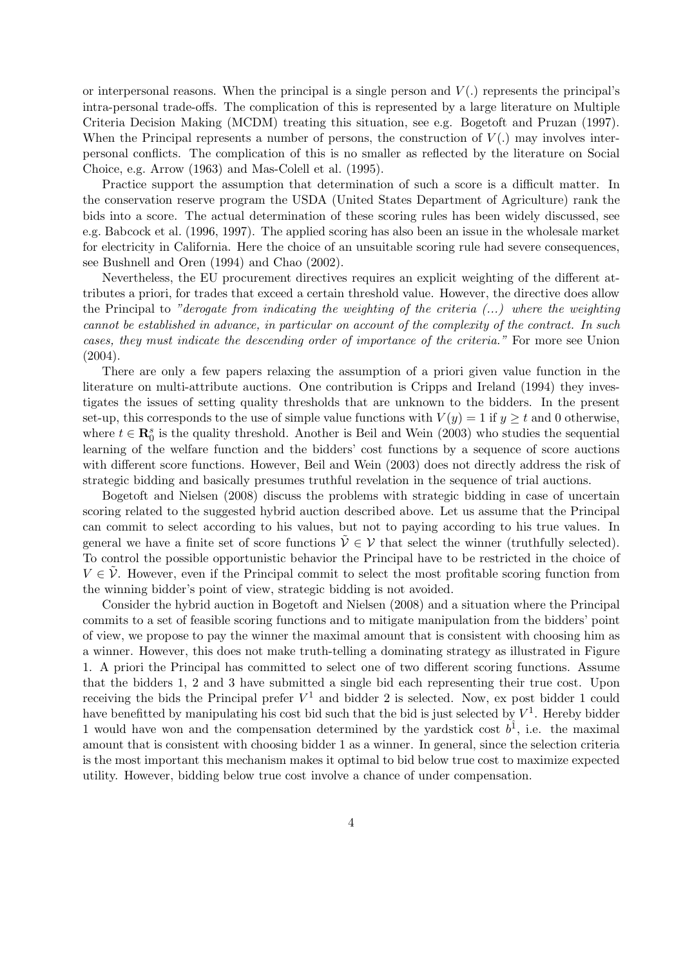or interpersonal reasons. When the principal is a single person and  $V(.)$  represents the principal's intra-personal trade-offs. The complication of this is represented by a large literature on Multiple Criteria Decision Making (MCDM) treating this situation, see e.g. Bogetoft and Pruzan (1997). When the Principal represents a number of persons, the construction of  $V(.)$  may involves interpersonal conflicts. The complication of this is no smaller as reflected by the literature on Social Choice, e.g. Arrow (1963) and Mas-Colell et al. (1995).

Practice support the assumption that determination of such a score is a difficult matter. In the conservation reserve program the USDA (United States Department of Agriculture) rank the bids into a score. The actual determination of these scoring rules has been widely discussed, see e.g. Babcock et al. (1996, 1997). The applied scoring has also been an issue in the wholesale market for electricity in California. Here the choice of an unsuitable scoring rule had severe consequences, see Bushnell and Oren (1994) and Chao (2002).

Nevertheless, the EU procurement directives requires an explicit weighting of the different attributes a priori, for trades that exceed a certain threshold value. However, the directive does allow the Principal to *"derogate from indicating the weighting of the criteria (...) where the weighting cannot be established in advance, in particular on account of the complexity of the contract. In such cases, they must indicate the descending order of importance of the criteria."* For more see Union (2004).

There are only a few papers relaxing the assumption of a priori given value function in the literature on multi-attribute auctions. One contribution is Cripps and Ireland (1994) they investigates the issues of setting quality thresholds that are unknown to the bidders. In the present set-up, this corresponds to the use of simple value functions with  $V(y) = 1$  if  $y \ge t$  and 0 otherwise, where  $t \in \mathbb{R}_0^s$  is the quality threshold. Another is Beil and Wein (2003) who studies the sequential learning of the welfare function and the bidders' cost functions by a sequence of score auctions with different score functions. However, Beil and Wein (2003) does not directly address the risk of strategic bidding and basically presumes truthful revelation in the sequence of trial auctions.

Bogetoft and Nielsen (2008) discuss the problems with strategic bidding in case of uncertain scoring related to the suggested hybrid auction described above. Let us assume that the Principal can commit to select according to his values, but not to paying according to his true values. In general we have a finite set of score functions  $V \in V$  that select the winner (truthfully selected). To control the possible opportunistic behavior the Principal have to be restricted in the choice of  $V \in \tilde{\mathcal{V}}$ . However, even if the Principal commit to select the most profitable scoring function from the winning bidder's point of view, strategic bidding is not avoided.

Consider the hybrid auction in Bogetoft and Nielsen (2008) and a situation where the Principal commits to a set of feasible scoring functions and to mitigate manipulation from the bidders' point of view, we propose to pay the winner the maximal amount that is consistent with choosing him as a winner. However, this does not make truth-telling a dominating strategy as illustrated in Figure 1. A priori the Principal has committed to select one of two different scoring functions. Assume that the bidders 1, 2 and 3 have submitted a single bid each representing their true cost. Upon receiving the bids the Principal prefer  $V^1$  and bidder 2 is selected. Now, ex post bidder 1 could have benefitted by manipulating his cost bid such that the bid is just selected by  $V^1$ . Hereby bidder 1 would have won and the compensation determined by the yardstick cost  $b^{\hat{1}}$ , i.e. the maximal amount that is consistent with choosing bidder 1 as a winner. In general, since the selection criteria is the most important this mechanism makes it optimal to bid below true cost to maximize expected utility. However, bidding below true cost involve a chance of under compensation.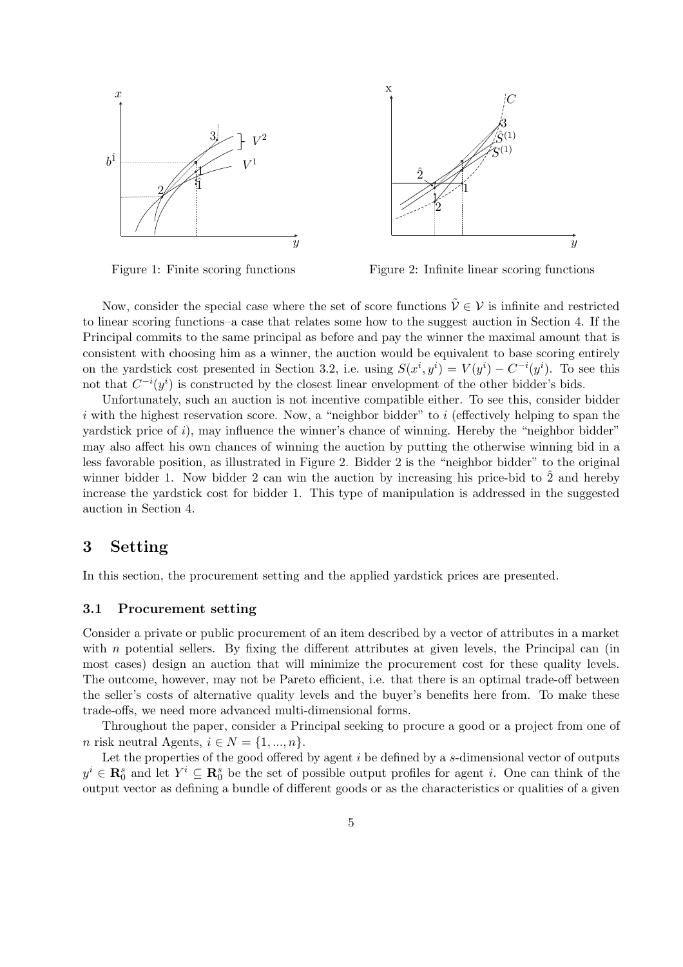



Figure 1: Finite scoring functions

Figure 2: Infinite linear scoring functions

Now, consider the special case where the set of score functions  $\tilde{\mathcal{V}} \in \mathcal{V}$  is infinite and restricted to linear scoring functions–a case that relates some how to the suggest auction in Section 4. If the Principal commits to the same principal as before and pay the winner the maximal amount that is consistent with choosing him as a winner, the auction would be equivalent to base scoring entirely on the yardstick cost presented in Section 3.2, i.e. using  $S(x^i, y^i) = V(y^i) - C^{-i}(y^i)$ . To see this not that  $C^{-i}(y^i)$  is constructed by the closest linear envelopment of the other bidder's bids.

Unfortunately, such an auction is not incentive compatible either. To see this, consider bidder i with the highest reservation score. Now, a "neighbor bidder" to i (effectively helping to span the yardstick price of  $i$ ), may influence the winner's chance of winning. Hereby the "neighbor bidder" may also affect his own chances of winning the auction by putting the otherwise winning bid in a less favorable position, as illustrated in Figure 2. Bidder 2 is the "neighbor bidder" to the original winner bidder 1. Now bidder 2 can win the auction by increasing his price-bid to  $\hat{2}$  and hereby increase the yardstick cost for bidder 1. This type of manipulation is addressed in the suggested auction in Section 4.

# 3 Setting

In this section, the procurement setting and the applied yardstick prices are presented.

#### 3.1 Procurement setting

Consider a private or public procurement of an item described by a vector of attributes in a market with n potential sellers. By fixing the different attributes at given levels, the Principal can (in most cases) design an auction that will minimize the procurement cost for these quality levels. The outcome, however, may not be Pareto efficient, i.e. that there is an optimal trade-off between the seller's costs of alternative quality levels and the buyer's benefits here from. To make these trade-offs, we need more advanced multi-dimensional forms.

Throughout the paper, consider a Principal seeking to procure a good or a project from one of n risk neutral Agents,  $i \in N = \{1, ..., n\}.$ 

Let the properties of the good offered by agent  $i$  be defined by a s-dimensional vector of outputs  $y^i \in \mathbf{R}_0^s$  and let  $Y^i \subseteq \mathbf{R}_0^s$  be the set of possible output profiles for agent *i*. One can think of the output vector as defining a bundle of different goods or as the characteristics or qualities of a given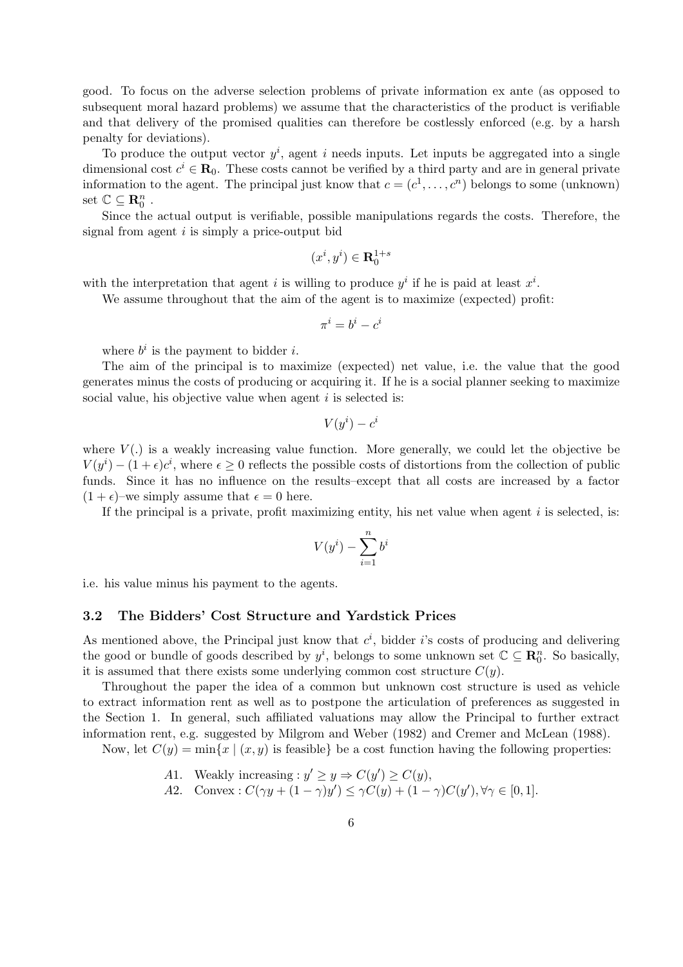good. To focus on the adverse selection problems of private information ex ante (as opposed to subsequent moral hazard problems) we assume that the characteristics of the product is verifiable and that delivery of the promised qualities can therefore be costlessly enforced (e.g. by a harsh penalty for deviations).

To produce the output vector  $y^i$ , agent i needs inputs. Let inputs be aggregated into a single dimensional cost  $c^i \in \mathbf{R}_0$ . These costs cannot be verified by a third party and are in general private information to the agent. The principal just know that  $c = (c^1, \ldots, c^n)$  belongs to some (unknown) set  $\mathbb{C} \subseteq \mathbf{R}_0^n$ .

Since the actual output is verifiable, possible manipulations regards the costs. Therefore, the signal from agent  $i$  is simply a price-output bid

$$
(x^i,y^i)\in{\mathbf{R}_0^{1+s}}
$$

with the interpretation that agent i is willing to produce  $y^i$  if he is paid at least  $x^i$ .

We assume throughout that the aim of the agent is to maximize (expected) profit:

$$
\pi^i = b^i - c^i
$$

where  $b^i$  is the payment to bidder *i*.

The aim of the principal is to maximize (expected) net value, i.e. the value that the good generates minus the costs of producing or acquiring it. If he is a social planner seeking to maximize social value, his objective value when agent  $i$  is selected is:

$$
V(y^i) - c^i
$$

where  $V(.)$  is a weakly increasing value function. More generally, we could let the objective be  $V(y^i) - (1 + \epsilon)c^i$ , where  $\epsilon \geq 0$  reflects the possible costs of distortions from the collection of public funds. Since it has no influence on the results–except that all costs are increased by a factor  $(1 + \epsilon)$ –we simply assume that  $\epsilon = 0$  here.

If the principal is a private, profit maximizing entity, his net value when agent  $i$  is selected, is:

$$
V(y^i) - \sum_{i=1}^n b^i
$$

i.e. his value minus his payment to the agents.

#### 3.2 The Bidders' Cost Structure and Yardstick Prices

As mentioned above, the Principal just know that  $c^i$ , bidder i's costs of producing and delivering the good or bundle of goods described by  $y^i$ , belongs to some unknown set  $\mathbb{C} \subseteq \mathbb{R}_0^n$ . So basically, it is assumed that there exists some underlying common cost structure  $C(y)$ .

Throughout the paper the idea of a common but unknown cost structure is used as vehicle to extract information rent as well as to postpone the articulation of preferences as suggested in the Section 1. In general, such affiliated valuations may allow the Principal to further extract information rent, e.g. suggested by Milgrom and Weber (1982) and Cremer and McLean (1988).

Now, let  $C(y) = \min\{x \mid (x, y) \text{ is feasible}\}\)$  be a cost function having the following properties:

- A1. Weakly increasing :  $y' \ge y \Rightarrow C(y') \ge C(y)$ ,
- A2. Convex:  $C(\gamma y + (1 \gamma)y') \leq \gamma C(y) + (1 \gamma)C(y')$ ,  $\forall \gamma \in [0, 1]$ .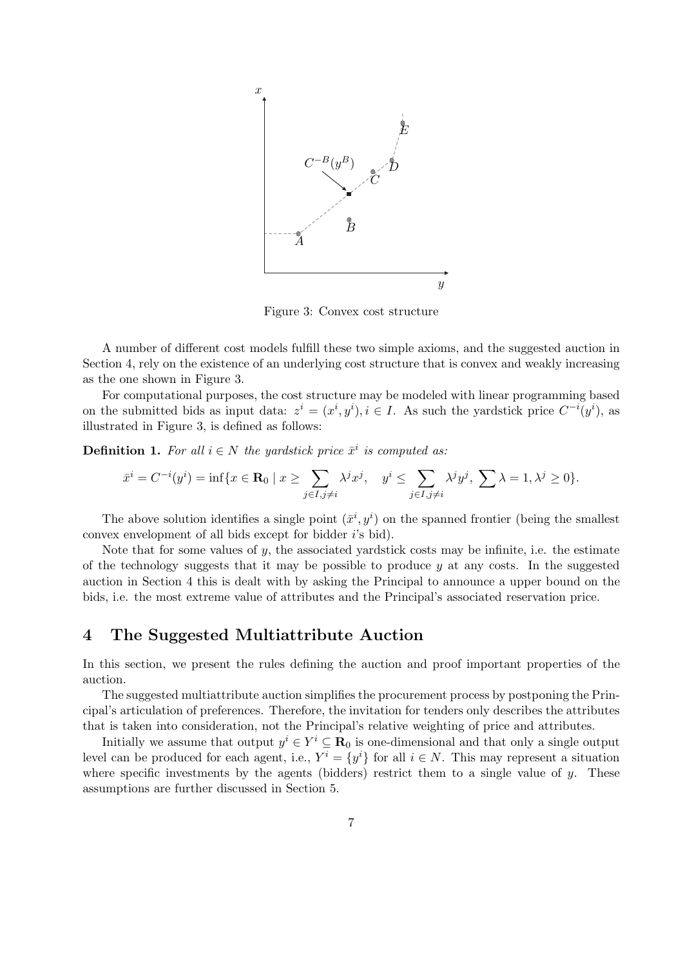

Figure 3: Convex cost structure

A number of different cost models fulfill these two simple axioms, and the suggested auction in Section 4, rely on the existence of an underlying cost structure that is convex and weakly increasing as the one shown in Figure 3.

For computational purposes, the cost structure may be modeled with linear programming based on the submitted bids as input data:  $z^i = (x^i, y^i), i \in I$ . As such the yardstick price  $C^{-i}(y^i)$ , as illustrated in Figure 3, is defined as follows:

**Definition 1.** For all  $i \in N$  the yardstick price  $\bar{x}^i$  is computed as:

$$
\bar{x}^i = C^{-i}(y^i) = \inf\{x \in \mathbf{R}_0 \mid x \ge \sum_{j \in I, j \ne i} \lambda^j x^j, \quad y^i \le \sum_{j \in I, j \ne i} \lambda^j y^j, \sum \lambda = 1, \lambda^j \ge 0\}.
$$

The above solution identifies a single point  $(\bar{x}^i, y^i)$  on the spanned frontier (being the smallest convex envelopment of all bids except for bidder i's bid).

Note that for some values of  $y$ , the associated yardstick costs may be infinite, i.e. the estimate of the technology suggests that it may be possible to produce  $y$  at any costs. In the suggested auction in Section 4 this is dealt with by asking the Principal to announce a upper bound on the bids, i.e. the most extreme value of attributes and the Principal's associated reservation price.

## 4 The Suggested Multiattribute Auction

In this section, we present the rules defining the auction and proof important properties of the auction.

The suggested multiattribute auction simplifies the procurement process by postponing the Principal's articulation of preferences. Therefore, the invitation for tenders only describes the attributes that is taken into consideration, not the Principal's relative weighting of price and attributes.

Initially we assume that output  $y^i \in Y^i \subseteq \mathbf{R}_0$  is one-dimensional and that only a single output level can be produced for each agent, i.e.,  $Y^i = \{y^i\}$  for all  $i \in N$ . This may represent a situation where specific investments by the agents (bidders) restrict them to a single value of  $\gamma$ . These assumptions are further discussed in Section 5.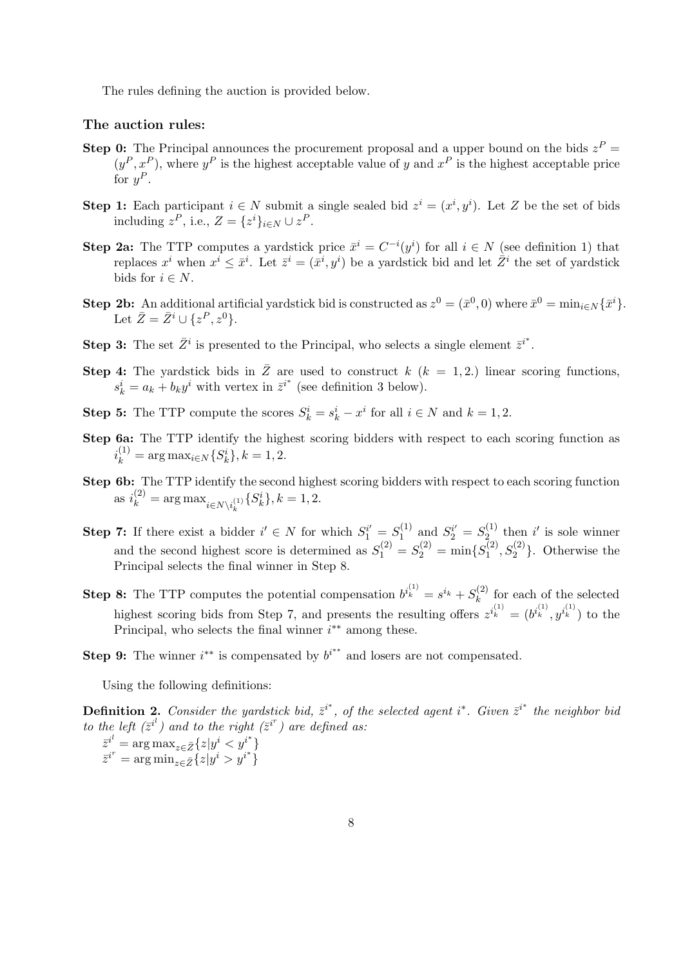The rules defining the auction is provided below.

#### The auction rules:

- **Step 0:** The Principal announces the procurement proposal and a upper bound on the bids  $z^P =$  $(y^P, x^P)$ , where  $y^P$  is the highest acceptable value of y and  $x^P$  is the highest acceptable price for  $y^P$ .
- **Step 1:** Each participant  $i \in N$  submit a single sealed bid  $z^i = (x^i, y^i)$ . Let Z be the set of bids including  $z^P$ , i.e.,  $Z = \{z^i\}_{i \in N} \cup z^P$ .
- **Step 2a:** The TTP computes a yardstick price  $\bar{x}^i = C^{-i}(y^i)$  for all  $i \in N$  (see definition 1) that replaces  $x^i$  when  $x^i \leq \bar{x}^i$ . Let  $\bar{z}^i = (\bar{x}^i, y^i)$  be a yardstick bid and let  $\bar{Z}^i$  the set of yardstick bids for  $i \in N$ .
- **Step 2b:** An additional artificial yardstick bid is constructed as  $z^0 = (\bar{x}^0, 0)$  where  $\bar{x}^0 = \min_{i \in N} {\{\bar{x}^i\}}$ . Let  $\bar{Z} = \bar{Z}^i \cup \{z^P, z^0\}.$
- **Step 3:** The set  $\bar{Z}^i$  is presented to the Principal, who selects a single element  $\bar{z}^{i^*}$ .
- Step 4: The yardstick bids in  $\overline{Z}$  are used to construct k ( $k = 1, 2$ .) linear scoring functions,  $s_k^i = a_k + b_k y^i$  with vertex in  $\overline{z}^{i^*}$  (see definition 3 below).
- **Step 5:** The TTP compute the scores  $S_k^i = s_k^i x^i$  for all  $i \in N$  and  $k = 1, 2$ .
- Step 6a: The TTP identify the highest scoring bidders with respect to each scoring function as  $i_k^{(1)} = \arg \max_{i \in N} \{S_k^i\}, k = 1, 2.$
- Step 6b: The TTP identify the second highest scoring bidders with respect to each scoring function as  $i_k^{(2)} = \arg \max_{i \in N \setminus i_k^{(1)}} \{S_k^i\}, k = 1, 2.$
- **Step 7:** If there exist a bidder  $i' \in N$  for which  $S_1^{i'} = S_1^{(1)}$  $S_1^{(1)}$  and  $S_2^{i'} = S_{2}^{(1)}$  $i^{(1)}_2$  then i' is sole winner and the second highest score is determined as  $S_1^{(2)} = S_2^{(2)} = \min\{S_1^{(2)}\}$  $\{1^{(2)}, S_2^{(2)}\}$ . Otherwise the Principal selects the final winner in Step 8.
- **Step 8:** The TTP computes the potential compensation  $b^{i_k^{(1)}} = s^{i_k} + S_k^{(2)}$  $\binom{2}{k}$  for each of the selected highest scoring bids from Step 7, and presents the resulting offers  $z^{i_k^{(1)}} = (b^{i_k^{(1)}}, y^{i_k^{(1)}})$  to the Principal, who selects the final winner  $i^{**}$  among these.
- Step 9: The winner  $i^{**}$  is compensated by  $b^{i^{**}}$  and losers are not compensated.

Using the following definitions:

**Definition 2.** Consider the yardstick bid,  $\bar{z}^{i^*}$ , of the selected agent i<sup>\*</sup>. Given  $\bar{z}^{i^*}$  the neighbor bid *to the left*  $(\bar{z}^{i^l})$  and to the right  $(\bar{z}^{i^r})$  are defined as:

$$
\bar{z}^{i^l} = \arg \max_{z \in \bar{Z}} \{z | y^i < y^{i^*} \} \bar{z}^{i^r} = \arg \min_{z \in \bar{Z}} \{z | y^i > y^{i^*} \}
$$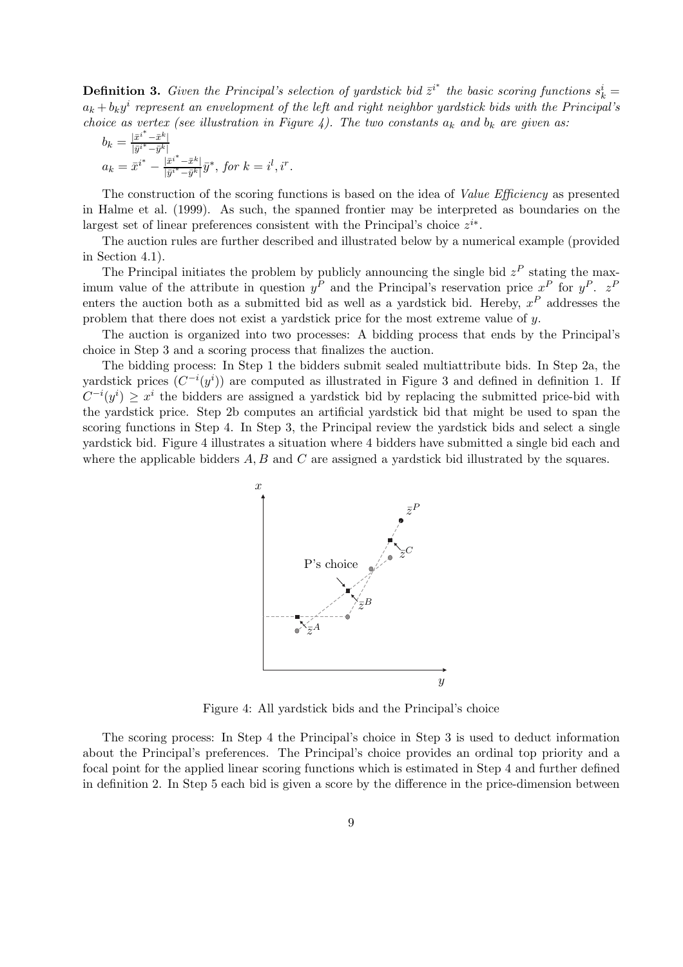**Definition 3.** Given the Principal's selection of yardstick bid  $\bar{z}^{i^*}$  the basic scoring functions  $s_k^i =$  $a_k + b_k y^i$  represent an envelopment of the left and right neighbor yardstick bids with the Principal's *choice as vertex (see illustration in Figure 4). The two constants*  $a_k$  *and*  $b_k$  *are given as:* 

$$
b_k = \frac{|\bar{x}^{i^*} - \bar{x}^k|}{|\bar{y}^{i^*} - \bar{y}^k|}
$$
  
\n
$$
a_k = \bar{x}^{i^*} - \frac{|\bar{x}^{i^*} - \bar{x}^k|}{|\bar{y}^{i^*} - \bar{y}^k|} \bar{y}^*, \text{ for } k = i^l, i^r.
$$

The construction of the scoring functions is based on the idea of *Value Efficiency* as presented in Halme et al. (1999). As such, the spanned frontier may be interpreted as boundaries on the largest set of linear preferences consistent with the Principal's choice  $z^{i*}$ .

The auction rules are further described and illustrated below by a numerical example (provided in Section 4.1).

The Principal initiates the problem by publicly announcing the single bid  $z^P$  stating the maximum value of the attribute in question  $y^P$  and the Principal's reservation price  $x^P$  for  $y^P$ .  $z^P$ enters the auction both as a submitted bid as well as a yardstick bid. Hereby,  $x^P$  addresses the problem that there does not exist a yardstick price for the most extreme value of y.

The auction is organized into two processes: A bidding process that ends by the Principal's choice in Step 3 and a scoring process that finalizes the auction.

The bidding process: In Step 1 the bidders submit sealed multiattribute bids. In Step 2a, the yardstick prices  $(C^{-i}(y^i))$  are computed as illustrated in Figure 3 and defined in definition 1. If  $C^{-i}(y^i) \geq x^i$  the bidders are assigned a yardstick bid by replacing the submitted price-bid with the yardstick price. Step 2b computes an artificial yardstick bid that might be used to span the scoring functions in Step 4. In Step 3, the Principal review the yardstick bids and select a single yardstick bid. Figure 4 illustrates a situation where 4 bidders have submitted a single bid each and where the applicable bidders  $A, B$  and  $C$  are assigned a yardstick bid illustrated by the squares.



Figure 4: All yardstick bids and the Principal's choice

The scoring process: In Step 4 the Principal's choice in Step 3 is used to deduct information about the Principal's preferences. The Principal's choice provides an ordinal top priority and a focal point for the applied linear scoring functions which is estimated in Step 4 and further defined in definition 2. In Step 5 each bid is given a score by the difference in the price-dimension between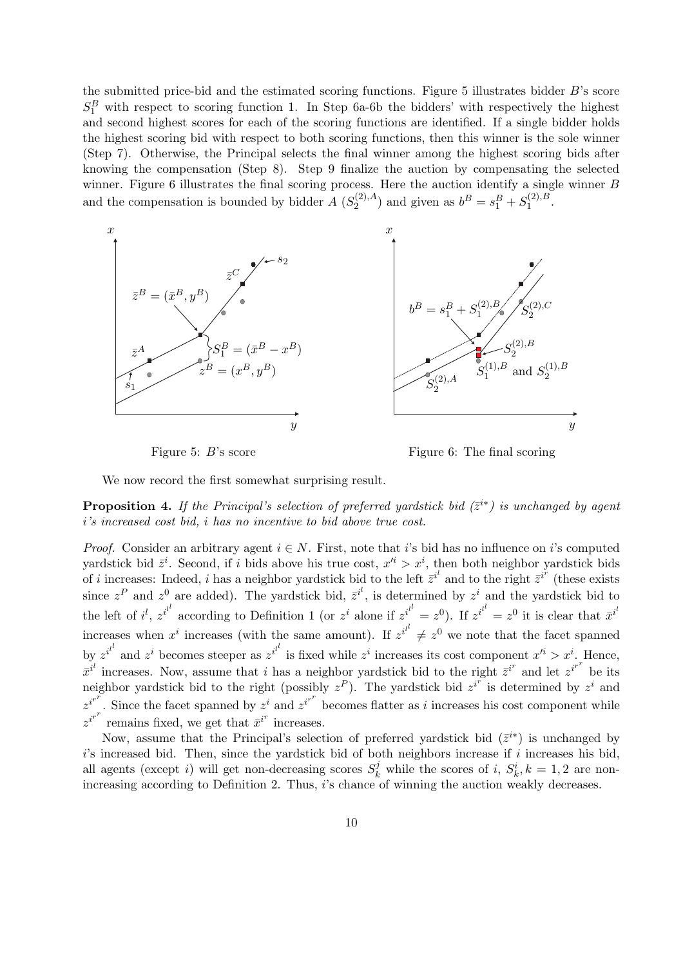the submitted price-bid and the estimated scoring functions. Figure 5 illustrates bidder B's score  $S_1^B$  with respect to scoring function 1. In Step 6a-6b the bidders' with respectively the highest and second highest scores for each of the scoring functions are identified. If a single bidder holds the highest scoring bid with respect to both scoring functions, then this winner is the sole winner (Step 7). Otherwise, the Principal selects the final winner among the highest scoring bids after knowing the compensation (Step 8). Step 9 finalize the auction by compensating the selected winner. Figure 6 illustrates the final scoring process. Here the auction identify a single winner B and the compensation is bounded by bidder  $A(S_2^{(2),A})$  $b^B = s_1^B + S_1^{(2),B}$  $1^{\left( 2\right) ,D}\cdot$ 



Figure 5:  $B$ 's score

Figure 6: The final scoring

We now record the first somewhat surprising result.

**Proposition 4.** If the Principal's selection of preferred yardstick bid  $(\bar{z}^{i*})$  is unchanged by agent i*'s increased cost bid,* i *has no incentive to bid above true cost.*

*Proof.* Consider an arbitrary agent  $i \in N$ . First, note that i's bid has no influence on i's computed yardstick bid  $\bar{z}^i$ . Second, if i bids above his true cost,  $x'^i > x^i$ , then both neighbor yardstick bids of i increases: Indeed, i has a neighbor yardstick bid to the left  $\overline{z}^{i'}$  and to the right  $\overline{z}^{i'}$  (these exists since  $z^P$  and  $z^0$  are added). The yardstick bid,  $\bar{z}^{i'}$ , is determined by  $z^i$  and the yardstick bid to the left of i<sup>l</sup>,  $z^{i^l}$  according to Definition 1 (or  $z^i$  alone if  $z^{i^l} = z^0$ ). If  $z^{i^l} = z^0$  it is clear that  $\bar{x}^{i^l}$ increases when  $x^i$  increases (with the same amount). If  $z^{i^{l}} \neq z^0$  we note that the facet spanned by  $z^{i^{l}}$  and  $z^{i}$  becomes steeper as  $z^{i^{l}}$  is fixed while  $z^{i}$  increases its cost component  $x'^{i} > x^{i}$ . Hence,  $\bar{x}^{i}$  increases. Now, assume that i has a neighbor yardstick bid to the right  $\bar{z}^{i^r}$  and let  $z^{i^{r^r}}$  be its neighbor yardstick bid to the right (possibly  $z^P$ ). The yardstick bid  $z^{i^r}$  is determined by  $z^i$  and  $z^{i^{r}}$ . Since the facet spanned by  $z^{i}$  and  $z^{i^{r^{r}}}$  becomes flatter as *i* increases his cost component while  $z^{i^{r}}$  remains fixed, we get that  $\bar{x}^{i^{r}}$  increases.

Now, assume that the Principal's selection of preferred yardstick bid  $(\bar{z}^{i*})$  is unchanged by  $i$ 's increased bid. Then, since the yardstick bid of both neighbors increase if  $i$  increases his bid, all agents (except i) will get non-decreasing scores  $S_k^j$  while the scores of i,  $S_k^i$ ,  $k = 1, 2$  are nonincreasing according to Definition 2. Thus, i's chance of winning the auction weakly decreases.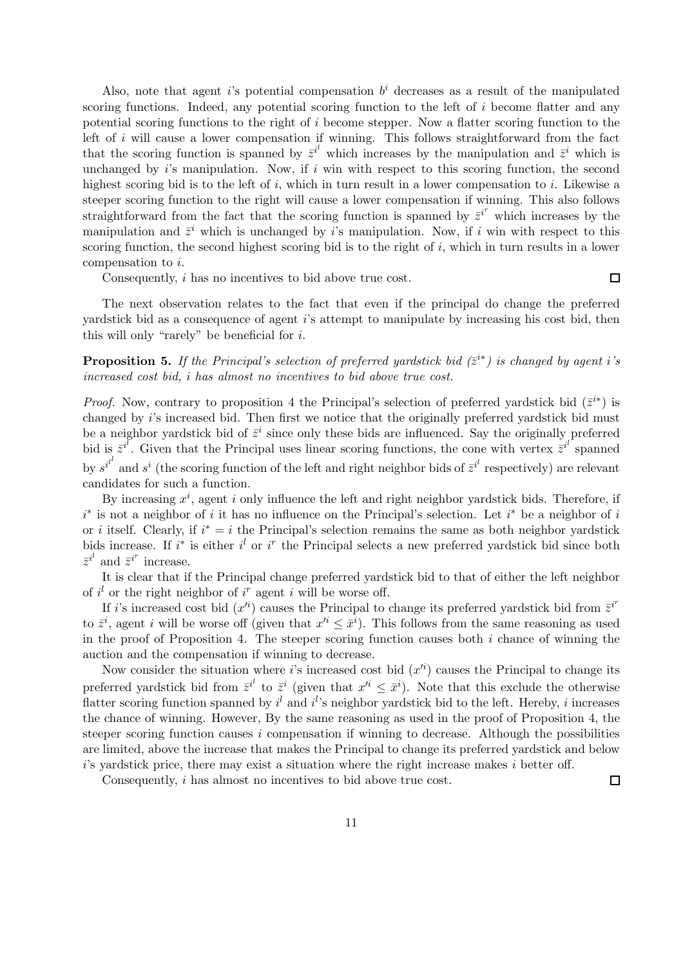Also, note that agent is potential compensation  $b^i$  decreases as a result of the manipulated scoring functions. Indeed, any potential scoring function to the left of  $i$  become flatter and any potential scoring functions to the right of i become stepper. Now a flatter scoring function to the left of i will cause a lower compensation if winning. This follows straightforward from the fact that the scoring function is spanned by  $\bar{z}^{i'}$  which increases by the manipulation and  $\bar{z}^i$  which is unchanged by  $i$ 's manipulation. Now, if  $i$  win with respect to this scoring function, the second highest scoring bid is to the left of i, which in turn result in a lower compensation to i. Likewise a steeper scoring function to the right will cause a lower compensation if winning. This also follows straightforward from the fact that the scoring function is spanned by  $\overline{z}^{i^r}$  which increases by the manipulation and  $\bar{z}^i$  which is unchanged by i's manipulation. Now, if i win with respect to this scoring function, the second highest scoring bid is to the right of i, which in turn results in a lower compensation to i.

Consequently, i has no incentives to bid above true cost.

The next observation relates to the fact that even if the principal do change the preferred yardstick bid as a consequence of agent i's attempt to manipulate by increasing his cost bid, then this will only "rarely" be beneficial for  $i$ .

**Proposition 5.** If the Principal's selection of preferred yardstick bid  $(\bar{z}^{i*})$  is changed by agent i's *increased cost bid,* i *has almost no incentives to bid above true cost.*

*Proof.* Now, contrary to proposition 4 the Principal's selection of preferred yardstick bid  $(\bar{z}^{i*})$  is changed by i's increased bid. Then first we notice that the originally preferred yardstick bid must be a neighbor yardstick bid of  $\bar{z}^i$  since only these bids are influenced. Say the originally preferred bid is  $\bar{z}^{i}$ . Given that the Principal uses linear scoring functions, the cone with vertex  $\bar{z}^{i'}$  spanned by  $s^{i^l}$  and  $s^i$  (the scoring function of the left and right neighbor bids of  $\overline{z}^{i^l}$  respectively) are relevant candidates for such a function.

By increasing  $x^i$ , agent i only influence the left and right neighbor yardstick bids. Therefore, if  $i^*$  is not a neighbor of i it has no influence on the Principal's selection. Let  $i^*$  be a neighbor of i or *i* itself. Clearly, if  $i^* = i$  the Principal's selection remains the same as both neighbor yardstick bids increase. If  $i^*$  is either  $i^l$  or  $i^r$  the Principal selects a new preferred yardstick bid since both  $\bar{z}^{i^l}$  and  $\bar{z}^{i^r}$  increase.

It is clear that if the Principal change preferred yardstick bid to that of either the left neighbor of  $i<sup>l</sup>$  or the right neighbor of  $i<sup>r</sup>$  agent i will be worse off.

If i's increased cost bid  $(x'^i)$  causes the Principal to change its preferred yardstick bid from  $\bar{z}^{i^r}$ to  $\bar{z}^i$ , agent i will be worse off (given that  $x'^i \leq \bar{x}^i$ ). This follows from the same reasoning as used in the proof of Proposition 4. The steeper scoring function causes both  $i$  chance of winning the auction and the compensation if winning to decrease.

Now consider the situation where i's increased cost bid  $(x^{i})$  causes the Principal to change its preferred yardstick bid from  $\bar{z}^{i'}$  to  $\bar{z}^{i}$  (given that  $x'^{i} \leq \bar{x}^{i}$ ). Note that this exclude the otherwise flatter scoring function spanned by  $i^{l}$  and  $i^{l}$ 's neighbor yardstick bid to the left. Hereby, i increases the chance of winning. However, By the same reasoning as used in the proof of Proposition 4, the steeper scoring function causes i compensation if winning to decrease. Although the possibilities are limited, above the increase that makes the Principal to change its preferred yardstick and below  $i$ 's yardstick price, there may exist a situation where the right increase makes  $i$  better off.

Consequently, i has almost no incentives to bid above true cost.

 $\Box$ 

 $\Box$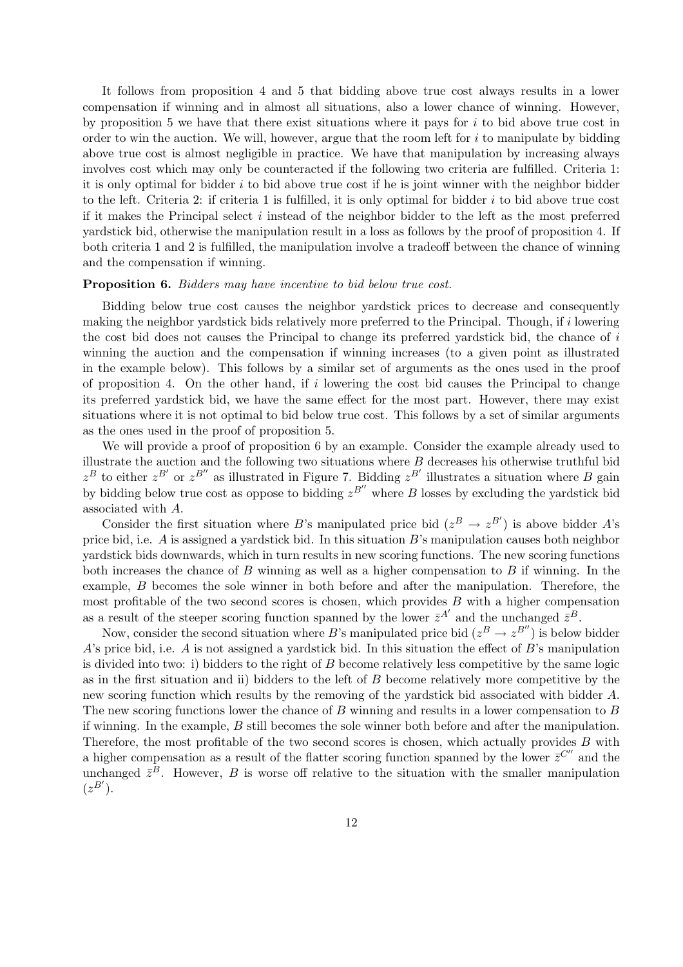It follows from proposition 4 and 5 that bidding above true cost always results in a lower compensation if winning and in almost all situations, also a lower chance of winning. However, by proposition 5 we have that there exist situations where it pays for  $i$  to bid above true cost in order to win the auction. We will, however, argue that the room left for  $i$  to manipulate by bidding above true cost is almost negligible in practice. We have that manipulation by increasing always involves cost which may only be counteracted if the following two criteria are fulfilled. Criteria 1: it is only optimal for bidder  $i$  to bid above true cost if he is joint winner with the neighbor bidder to the left. Criteria 2: if criteria 1 is fulfilled, it is only optimal for bidder  $i$  to bid above true cost if it makes the Principal select i instead of the neighbor bidder to the left as the most preferred yardstick bid, otherwise the manipulation result in a loss as follows by the proof of proposition 4. If both criteria 1 and 2 is fulfilled, the manipulation involve a tradeoff between the chance of winning and the compensation if winning.

#### Proposition 6. *Bidders may have incentive to bid below true cost.*

Bidding below true cost causes the neighbor yardstick prices to decrease and consequently making the neighbor vardstick bids relatively more preferred to the Principal. Though, if i lowering the cost bid does not causes the Principal to change its preferred yardstick bid, the chance of i winning the auction and the compensation if winning increases (to a given point as illustrated in the example below). This follows by a similar set of arguments as the ones used in the proof of proposition 4. On the other hand, if  $i$  lowering the cost bid causes the Principal to change its preferred yardstick bid, we have the same effect for the most part. However, there may exist situations where it is not optimal to bid below true cost. This follows by a set of similar arguments as the ones used in the proof of proposition 5.

We will provide a proof of proposition 6 by an example. Consider the example already used to illustrate the auction and the following two situations where  $B$  decreases his otherwise truthful bid  $z^B$  to either  $z^{B'}$  or  $z^{B''}$  as illustrated in Figure 7. Bidding  $z^{B'}$  illustrates a situation where B gain by bidding below true cost as oppose to bidding  $z^{B''}$  where B losses by excluding the yardstick bid associated with A.

Consider the first situation where B's manipulated price bid  $(z^B \to z^{B'})$  is above bidder A's price bid, i.e. A is assigned a yardstick bid. In this situation B's manipulation causes both neighbor yardstick bids downwards, which in turn results in new scoring functions. The new scoring functions both increases the chance of  $B$  winning as well as a higher compensation to  $B$  if winning. In the example, B becomes the sole winner in both before and after the manipulation. Therefore, the most profitable of the two second scores is chosen, which provides  $B$  with a higher compensation as a result of the steeper scoring function spanned by the lower  $\bar{z}^{A'}$  and the unchanged  $\bar{z}^{B}$ .

Now, consider the second situation where B's manipulated price bid  $(z^B \to z^{B''})$  is below bidder A's price bid, i.e. A is not assigned a yardstick bid. In this situation the effect of  $B$ 's manipulation is divided into two: i) bidders to the right of B become relatively less competitive by the same logic as in the first situation and ii) bidders to the left of B become relatively more competitive by the new scoring function which results by the removing of the yardstick bid associated with bidder A. The new scoring functions lower the chance of B winning and results in a lower compensation to B if winning. In the example, B still becomes the sole winner both before and after the manipulation. Therefore, the most profitable of the two second scores is chosen, which actually provides B with a higher compensation as a result of the flatter scoring function spanned by the lower  $\bar{z}^{C''}$  and the unchanged  $\bar{z}^B$ . However, B is worse off relative to the situation with the smaller manipulation  $(z^{B'})$ .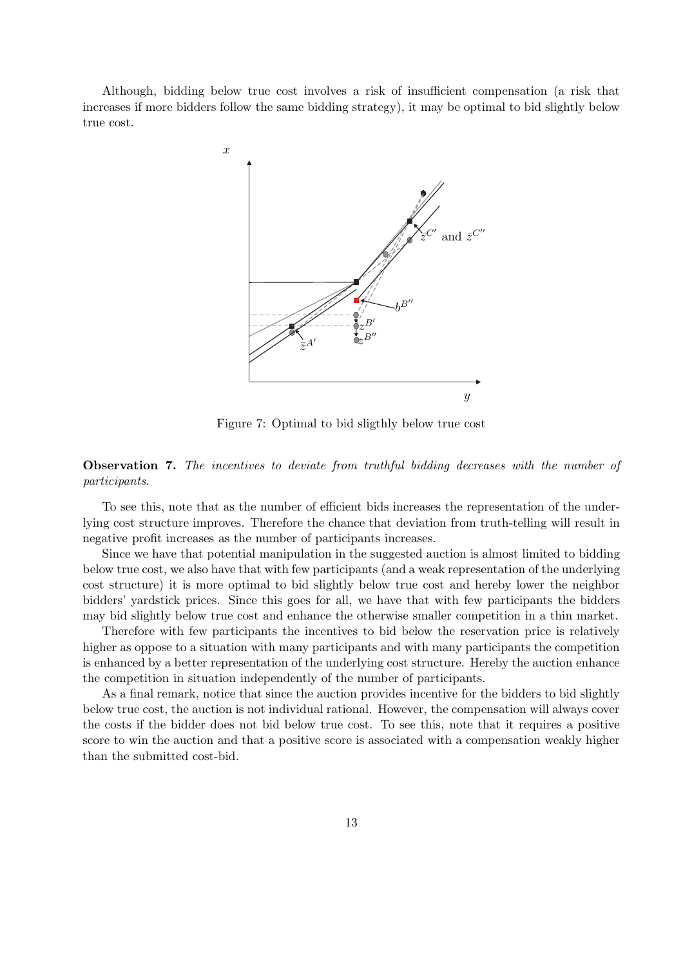Although, bidding below true cost involves a risk of insufficient compensation (a risk that increases if more bidders follow the same bidding strategy), it may be optimal to bid slightly below true cost.



Figure 7: Optimal to bid sligthly below true cost

### Observation 7. *The incentives to deviate from truthful bidding decreases with the number of participants.*

To see this, note that as the number of efficient bids increases the representation of the underlying cost structure improves. Therefore the chance that deviation from truth-telling will result in negative profit increases as the number of participants increases.

Since we have that potential manipulation in the suggested auction is almost limited to bidding below true cost, we also have that with few participants (and a weak representation of the underlying cost structure) it is more optimal to bid slightly below true cost and hereby lower the neighbor bidders' yardstick prices. Since this goes for all, we have that with few participants the bidders may bid slightly below true cost and enhance the otherwise smaller competition in a thin market.

Therefore with few participants the incentives to bid below the reservation price is relatively higher as oppose to a situation with many participants and with many participants the competition is enhanced by a better representation of the underlying cost structure. Hereby the auction enhance the competition in situation independently of the number of participants.

As a final remark, notice that since the auction provides incentive for the bidders to bid slightly below true cost, the auction is not individual rational. However, the compensation will always cover the costs if the bidder does not bid below true cost. To see this, note that it requires a positive score to win the auction and that a positive score is associated with a compensation weakly higher than the submitted cost-bid.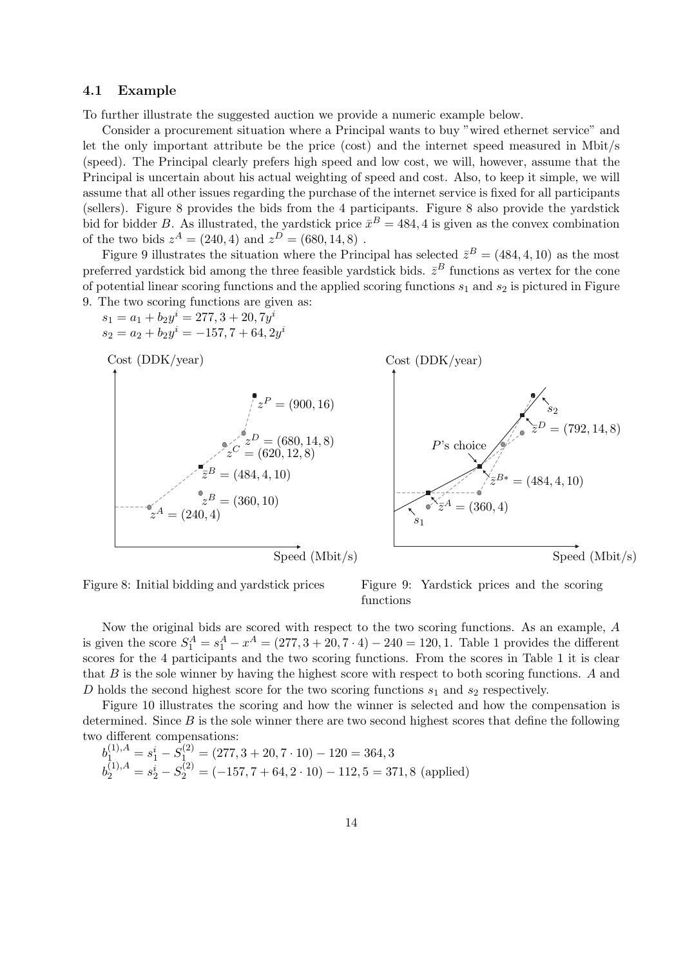#### 4.1 Example

To further illustrate the suggested auction we provide a numeric example below.

Consider a procurement situation where a Principal wants to buy "wired ethernet service" and let the only important attribute be the price (cost) and the internet speed measured in Mbit/s (speed). The Principal clearly prefers high speed and low cost, we will, however, assume that the Principal is uncertain about his actual weighting of speed and cost. Also, to keep it simple, we will assume that all other issues regarding the purchase of the internet service is fixed for all participants (sellers). Figure 8 provides the bids from the 4 participants. Figure 8 also provide the yardstick bid for bidder B. As illustrated, the yardstick price  $\bar{x}^B = 484, 4$  is given as the convex combination of the two bids  $z^A = (240, 4)$  and  $z^D = (680, 14, 8)$ .

Figure 9 illustrates the situation where the Principal has selected  $\bar{z}^B = (484, 4, 10)$  as the most preferred yardstick bid among the three feasible yardstick bids.  $\bar{z}^B$  functions as vertex for the cone of potential linear scoring functions and the applied scoring functions  $s_1$  and  $s_2$  is pictured in Figure 9. The two scoring functions are given as:

$$
s_1 = a_1 + b_2 y^i = 277, 3 + 20, 7y^i
$$
  
\n
$$
s_2 = a_2 + b_2 y^i = -157, 7 + 64, 2y^i
$$





Figure 9: Yardstick prices and the scoring functions

Now the original bids are scored with respect to the two scoring functions. As an example, A is given the score  $S_1^A = s_1^A - x^A = (277, 3 + 20, 7 \cdot 4) - 240 = 120, 1$ . Table 1 provides the different scores for the 4 participants and the two scoring functions. From the scores in Table 1 it is clear that B is the sole winner by having the highest score with respect to both scoring functions. A and D holds the second highest score for the two scoring functions  $s_1$  and  $s_2$  respectively.

Figure 10 illustrates the scoring and how the winner is selected and how the compensation is determined. Since  $B$  is the sole winner there are two second highest scores that define the following two different compensations:

$$
b_1^{(1),A} = s_1^i - S_1^{(2)} = (277, 3 + 20, 7 \cdot 10) - 120 = 364, 3
$$
  
\n
$$
b_2^{(1),A} = s_2^i - S_2^{(2)} = (-157, 7 + 64, 2 \cdot 10) - 112, 5 = 371, 8 \text{ (applied)}
$$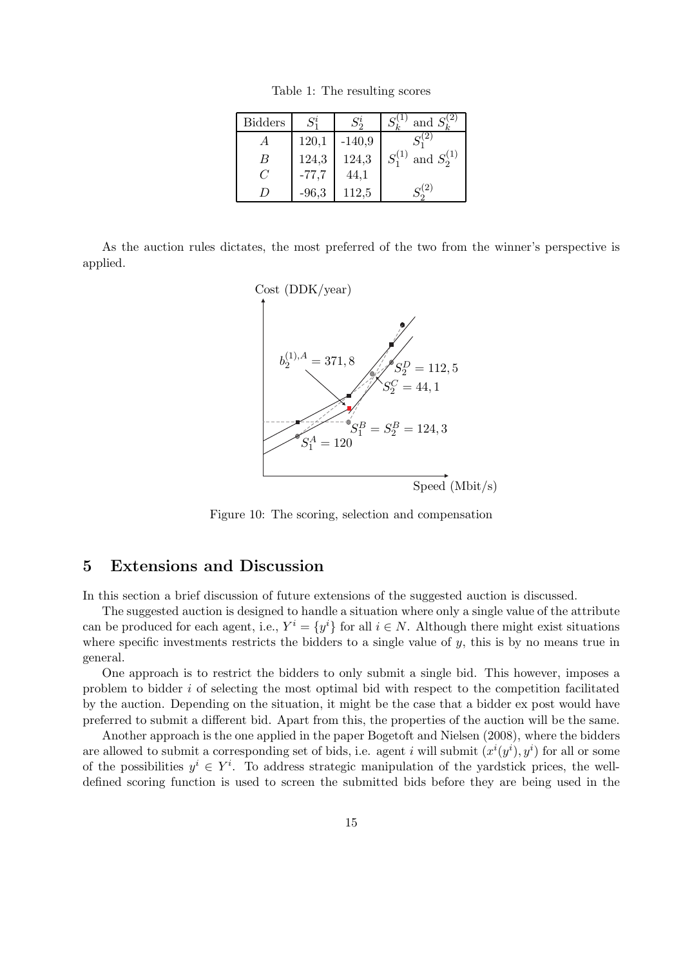| <b>Bidders</b> |         |          | and $S_{\iota}^{(2)}$          |
|----------------|---------|----------|--------------------------------|
|                | 120,1   | $-140,9$ |                                |
| B              | 124,3   | 124,3    | $S_1^{(1)}$<br>and $S_2^{(1)}$ |
| C              | $-77,7$ | 44,1     |                                |
|                | $-96,3$ | 112,5    | 2                              |

Table 1: The resulting scores

As the auction rules dictates, the most preferred of the two from the winner's perspective is applied.



Figure 10: The scoring, selection and compensation

## 5 Extensions and Discussion

In this section a brief discussion of future extensions of the suggested auction is discussed.

The suggested auction is designed to handle a situation where only a single value of the attribute can be produced for each agent, i.e.,  $Y^i = \{y^i\}$  for all  $i \in N$ . Although there might exist situations where specific investments restricts the bidders to a single value of  $y$ , this is by no means true in general.

One approach is to restrict the bidders to only submit a single bid. This however, imposes a problem to bidder i of selecting the most optimal bid with respect to the competition facilitated by the auction. Depending on the situation, it might be the case that a bidder ex post would have preferred to submit a different bid. Apart from this, the properties of the auction will be the same.

Another approach is the one applied in the paper Bogetoft and Nielsen (2008), where the bidders are allowed to submit a corresponding set of bids, i.e. agent i will submit  $(x^{i}(y^{i}), y^{i})$  for all or some of the possibilities  $y^i \in Y^i$ . To address strategic manipulation of the yardstick prices, the welldefined scoring function is used to screen the submitted bids before they are being used in the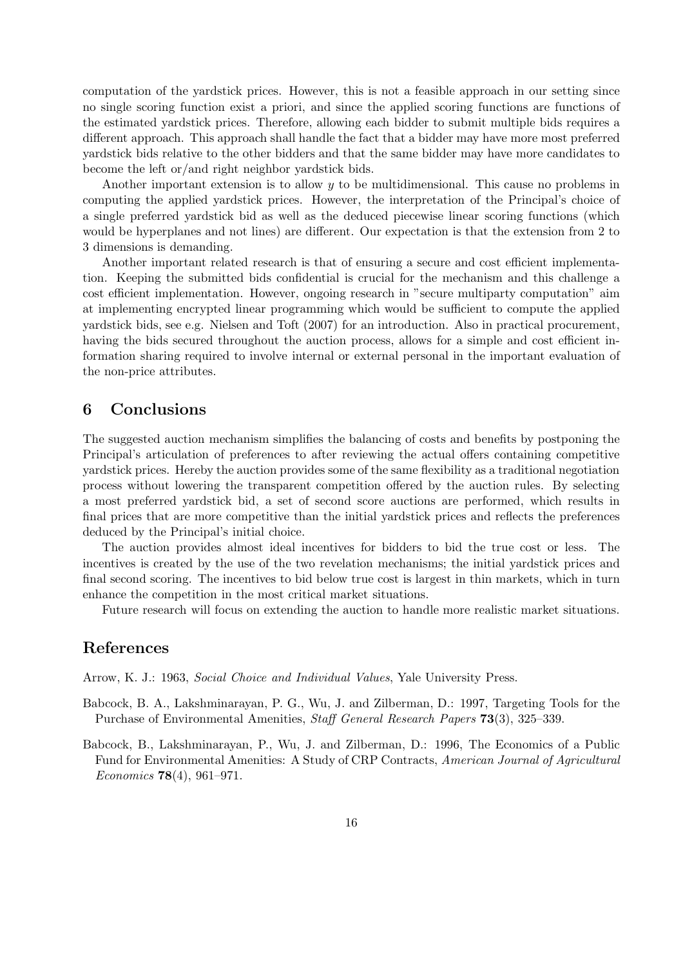computation of the yardstick prices. However, this is not a feasible approach in our setting since no single scoring function exist a priori, and since the applied scoring functions are functions of the estimated yardstick prices. Therefore, allowing each bidder to submit multiple bids requires a different approach. This approach shall handle the fact that a bidder may have more most preferred yardstick bids relative to the other bidders and that the same bidder may have more candidates to become the left or/and right neighbor yardstick bids.

Another important extension is to allow y to be multidimensional. This cause no problems in computing the applied yardstick prices. However, the interpretation of the Principal's choice of a single preferred yardstick bid as well as the deduced piecewise linear scoring functions (which would be hyperplanes and not lines) are different. Our expectation is that the extension from 2 to 3 dimensions is demanding.

Another important related research is that of ensuring a secure and cost efficient implementation. Keeping the submitted bids confidential is crucial for the mechanism and this challenge a cost efficient implementation. However, ongoing research in "secure multiparty computation" aim at implementing encrypted linear programming which would be sufficient to compute the applied yardstick bids, see e.g. Nielsen and Toft (2007) for an introduction. Also in practical procurement, having the bids secured throughout the auction process, allows for a simple and cost efficient information sharing required to involve internal or external personal in the important evaluation of the non-price attributes.

# 6 Conclusions

The suggested auction mechanism simplifies the balancing of costs and benefits by postponing the Principal's articulation of preferences to after reviewing the actual offers containing competitive yardstick prices. Hereby the auction provides some of the same flexibility as a traditional negotiation process without lowering the transparent competition offered by the auction rules. By selecting a most preferred yardstick bid, a set of second score auctions are performed, which results in final prices that are more competitive than the initial yardstick prices and reflects the preferences deduced by the Principal's initial choice.

The auction provides almost ideal incentives for bidders to bid the true cost or less. The incentives is created by the use of the two revelation mechanisms; the initial yardstick prices and final second scoring. The incentives to bid below true cost is largest in thin markets, which in turn enhance the competition in the most critical market situations.

Future research will focus on extending the auction to handle more realistic market situations.

## References

Arrow, K. J.: 1963, *Social Choice and Individual Values*, Yale University Press.

- Babcock, B. A., Lakshminarayan, P. G., Wu, J. and Zilberman, D.: 1997, Targeting Tools for the Purchase of Environmental Amenities, *Staff General Research Papers* 73(3), 325–339.
- Babcock, B., Lakshminarayan, P., Wu, J. and Zilberman, D.: 1996, The Economics of a Public Fund for Environmental Amenities: A Study of CRP Contracts, *American Journal of Agricultural Economics* 78(4), 961–971.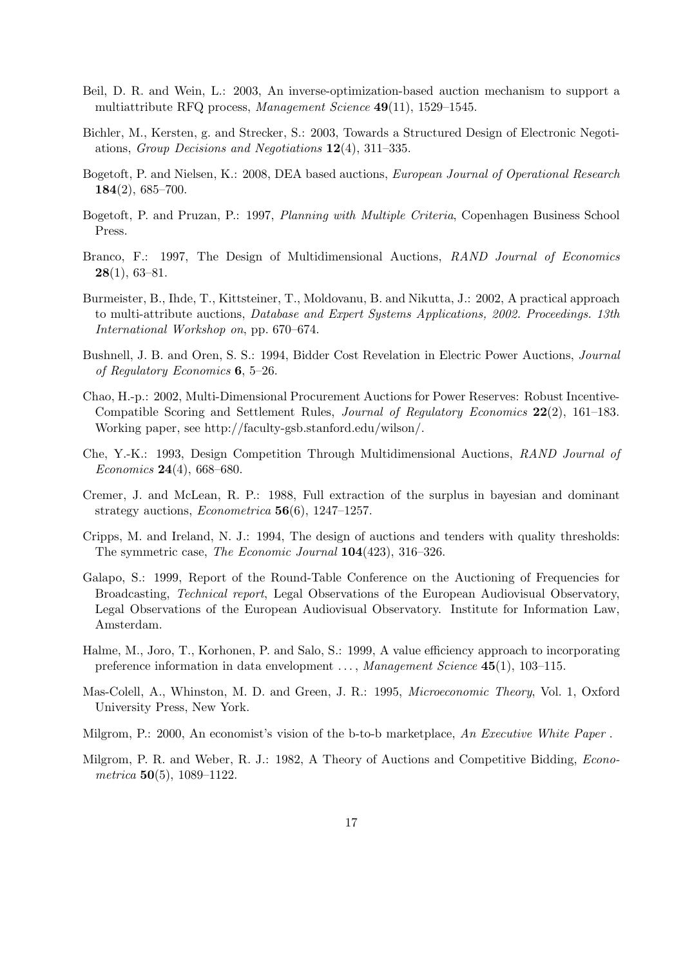- Beil, D. R. and Wein, L.: 2003, An inverse-optimization-based auction mechanism to support a multiattribute RFQ process, *Management Science* 49(11), 1529–1545.
- Bichler, M., Kersten, g. and Strecker, S.: 2003, Towards a Structured Design of Electronic Negotiations, *Group Decisions and Negotiations* 12(4), 311–335.
- Bogetoft, P. and Nielsen, K.: 2008, DEA based auctions, *European Journal of Operational Research* 184(2), 685–700.
- Bogetoft, P. and Pruzan, P.: 1997, *Planning with Multiple Criteria*, Copenhagen Business School Press.
- Branco, F.: 1997, The Design of Multidimensional Auctions, *RAND Journal of Economics*  $28(1), 63-81.$
- Burmeister, B., Ihde, T., Kittsteiner, T., Moldovanu, B. and Nikutta, J.: 2002, A practical approach to multi-attribute auctions, *Database and Expert Systems Applications, 2002. Proceedings. 13th International Workshop on*, pp. 670–674.
- Bushnell, J. B. and Oren, S. S.: 1994, Bidder Cost Revelation in Electric Power Auctions, *Journal of Regulatory Economics* 6, 5–26.
- Chao, H.-p.: 2002, Multi-Dimensional Procurement Auctions for Power Reserves: Robust Incentive-Compatible Scoring and Settlement Rules, *Journal of Regulatory Economics* 22(2), 161–183. Working paper, see http://faculty-gsb.stanford.edu/wilson/.
- Che, Y.-K.: 1993, Design Competition Through Multidimensional Auctions, *RAND Journal of Economics* 24(4), 668–680.
- Cremer, J. and McLean, R. P.: 1988, Full extraction of the surplus in bayesian and dominant strategy auctions, *Econometrica* 56(6), 1247–1257.
- Cripps, M. and Ireland, N. J.: 1994, The design of auctions and tenders with quality thresholds: The symmetric case, *The Economic Journal* 104(423), 316–326.
- Galapo, S.: 1999, Report of the Round-Table Conference on the Auctioning of Frequencies for Broadcasting, *Technical report*, Legal Observations of the European Audiovisual Observatory, Legal Observations of the European Audiovisual Observatory. Institute for Information Law, Amsterdam.
- Halme, M., Joro, T., Korhonen, P. and Salo, S.: 1999, A value efficiency approach to incorporating preference information in data envelopment . . . , *Management Science* 45(1), 103–115.
- Mas-Colell, A., Whinston, M. D. and Green, J. R.: 1995, *Microeconomic Theory*, Vol. 1, Oxford University Press, New York.
- Milgrom, P.: 2000, An economist's vision of the b-to-b marketplace, *An Executive White Paper* .
- Milgrom, P. R. and Weber, R. J.: 1982, A Theory of Auctions and Competitive Bidding, *Econometrica* 50(5), 1089–1122.